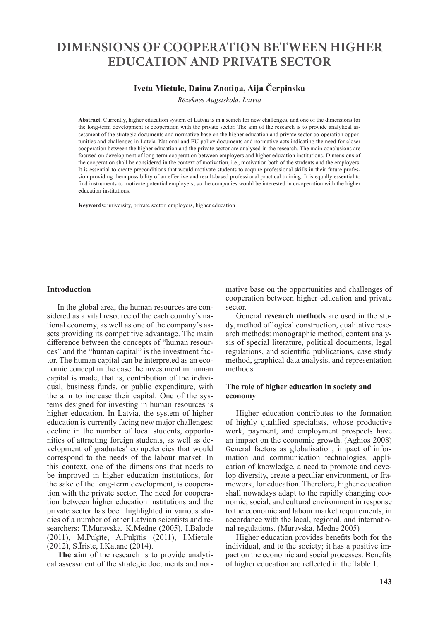# **DIMENSIONS OF COOPERATION BETWEEN HIGHER EDUCATION AND PRIVATE SECTOR**

# **Iveta Mietule, Daina Znotiņa, Aija Čerpinska**

*Rēzeknes Augstskola. Latvia*

**Abstract.** Currently, higher education system of Latvia is in a search for new challenges, and one of the dimensions for the long-term development is cooperation with the private sector. The aim of the research is to provide analytical assessment of the strategic documents and normative base on the higher education and private sector co-operation opportunities and challenges in Latvia. National and EU policy documents and normative acts indicating the need for closer cooperation between the higher education and the private sector are analysed in the research. The main conclusions are focused on development of long-term cooperation between employers and higher education institutions. Dimensions of the cooperation shall be considered in the context of motivation, i.e., motivation both of the students and the employers. It is essential to create preconditions that would motivate students to acquire professional skills in their future profession providing them possibility of an effective and result-based professional practical training. It is equally essential to find instruments to motivate potential employers, so the companies would be interested in co-operation with the higher education institutions.

**Keywords:** university, private sector, employers, higher education

#### **Introduction**

In the global area, the human resources are considered as a vital resource of the each country's national economy, as well as one of the company's assets providing its competitive advantage. The main difference between the concepts of "human resources" and the "human capital" is the investment factor. The human capital can be interpreted as an economic concept in the case the investment in human capital is made, that is, contribution of the individual, business funds, or public expenditure, with the aim to increase their capital. One of the systems designed for investing in human resources is higher education. In Latvia, the system of higher education is currently facing new major challenges: decline in the number of local students, opportunities of attracting foreign students, as well as development of graduates' competencies that would correspond to the needs of the labour market. In this context, one of the dimensions that needs to be improved in higher education institutions, for the sake of the long-term development, is cooperation with the private sector. The need for cooperation between higher education institutions and the private sector has been highlighted in various studies of a number of other Latvian scientists and researchers: T.Muravska, K.Medne (2005), I.Balode (2011), M.Puķīte, A.Puķītis (2011), I.Mietule (2012), S.Īriste, I.Katane (2014).

**The aim** of the research is to provide analytical assessment of the strategic documents and normative base on the opportunities and challenges of cooperation between higher education and private sector.

General **research methods** are used in the study, method of logical construction, qualitative research methods: monographic method, content analysis of special literature, political documents, legal regulations, and scientific publications, case study method, graphical data analysis, and representation methods.

#### **The role of higher education in society and economy**

Higher education contributes to the formation of highly qualified specialists, whose productive work, payment, and employment prospects have an impact on the economic growth. (Aghios 2008) General factors as globalisation, impact of information and communication technologies, application of knowledge, a need to promote and develop diversity, create a peculiar environment, or framework, for education. Therefore, higher education shall nowadays adapt to the rapidly changing economic, social, and cultural environment in response to the economic and labour market requirements, in accordance with the local, regional, and international regulations. (Muravska, Medne 2005)

Higher education provides benefits both for the individual, and to the society; it has a positive impact on the economic and social processes. Benefits of higher education are reflected in the Table 1.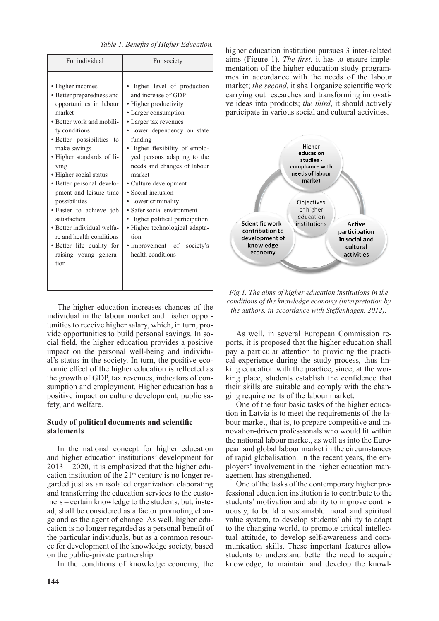| • Higher level of production<br>and increase of GDP                                                                                                                                                                                                                                                                                                                                                                                                             |
|-----------------------------------------------------------------------------------------------------------------------------------------------------------------------------------------------------------------------------------------------------------------------------------------------------------------------------------------------------------------------------------------------------------------------------------------------------------------|
| • Higher productivity<br>• Larger consumption<br>• Larger tax revenues<br>• Lower dependency on state<br>funding<br>• Higher flexibility of emplo-<br>yed persons adapting to the<br>needs and changes of labour<br>market<br>· Culture development<br>• Social inclusion<br>• Lower criminality<br>• Safer social environment<br>• Higher political participation<br>· Higher technological adapta-<br>tion<br>• Improvement of society's<br>health conditions |
|                                                                                                                                                                                                                                                                                                                                                                                                                                                                 |

*Table 1. Benefits of Higher Education.*

The higher education increases chances of the individual in the labour market and his/her opportunities to receive higher salary, which, in turn, provide opportunities to build personal savings. In social field, the higher education provides a positive impact on the personal well-being and individual's status in the society. In turn, the positive economic effect of the higher education is reflected as the growth of GDP, tax revenues, indicators of consumption and employment. Higher education has a positive impact on culture development, public safety, and welfare.

### **Study of political documents and scientific statements**

In the national concept for higher education and higher education institutions' development for  $2013 - 2020$ , it is emphasized that the higher education institution of the  $21<sup>th</sup>$  century is no longer regarded just as an isolated organization elaborating and transferring the education services to the customers – certain knowledge to the students, but, instead, shall be considered as a factor promoting change and as the agent of change. As well, higher education is no longer regarded as a personal benefit of the particular individuals, but as a common resource for development of the knowledge society, based on the public-private partnership

In the conditions of knowledge economy, the

higher education institution pursues 3 inter-related aims (Figure 1). *The first*, it has to ensure implementation of the higher education study programmes in accordance with the needs of the labour market; *the second*, it shall organize scientific work carrying out researches and transforming innovative ideas into products; *the third*, it should actively participate in various social and cultural activities.



*Fig.1. The aims of higher education institutions in the conditions of the knowledge economy (interpretation by the authors, in accordance with Steffenhagen, 2012).*

As well, in several European Commission reports, it is proposed that the higher education shall pay a particular attention to providing the practical experience during the study process, thus linking education with the practice, since, at the working place, students establish the confidence that their skills are suitable and comply with the changing requirements of the labour market.

One of the four basic tasks of the higher education in Latvia is to meet the requirements of the labour market, that is, to prepare competitive and innovation-driven professionals who would fit within the national labour market, as well as into the European and global labour market in the circumstances of rapid globalisation. In the recent years, the employers' involvement in the higher education management has strengthened.

One of the tasks of the contemporary higher professional education institution is to contribute to the students' motivation and ability to improve continuously, to build a sustainable moral and spiritual value system, to develop students' ability to adapt to the changing world, to promote critical intellectual attitude, to develop self-awareness and communication skills. These important features allow students to understand better the need to acquire knowledge, to maintain and develop the knowl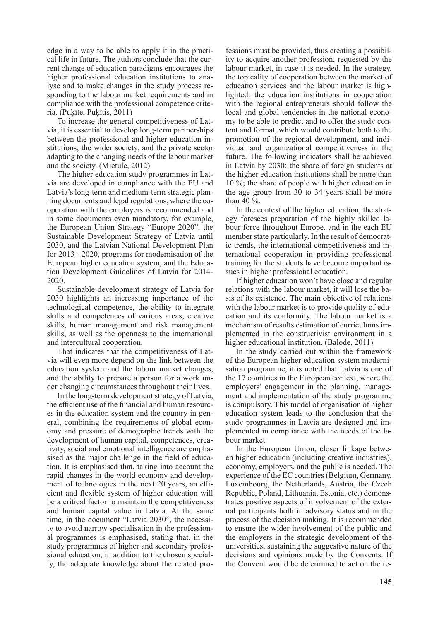edge in a way to be able to apply it in the practical life in future. The authors conclude that the current change of education paradigms encourages the higher professional education institutions to analyse and to make changes in the study process responding to the labour market requirements and in compliance with the professional competence criteria. (Puķīte, Puķītis, 2011)

To increase the general competitiveness of Latvia, it is essential to develop long-term partnerships between the professional and higher education institutions, the wider society, and the private sector adapting to the changing needs of the labour market and the society. (Mietule, 2012)

The higher education study programmes in Latvia are developed in compliance with the EU and Latvia's long-term and medium-term strategic planning documents and legal regulations, where the cooperation with the employers is recommended and in some documents even mandatory, for example, the European Union Strategy "Europe 2020", the Sustainable Development Strategy of Latvia until 2030, and the Latvian National Development Plan for 2013 - 2020, programs for modernisation of the European higher education system, and the Education Development Guidelines of Latvia for 2014- 2020.

Sustainable development strategy of Latvia for 2030 highlights an increasing importance of the technological competence, the ability to integrate skills and competences of various areas, creative skills, human management and risk management skills, as well as the openness to the international and intercultural cooperation.

That indicates that the competitiveness of Latvia will even more depend on the link between the education system and the labour market changes, and the ability to prepare a person for a work under changing circumstances throughout their lives.

In the long-term development strategy of Latvia, the efficient use of the financial and human resources in the education system and the country in general, combining the requirements of global economy and pressure of demographic trends with the development of human capital, competences, creativity, social and emotional intelligence are emphasised as the major challenge in the field of education. It is emphasised that, taking into account the rapid changes in the world economy and development of technologies in the next 20 years, an efficient and flexible system of higher education will be a critical factor to maintain the competitiveness and human capital value in Latvia. At the same time, in the document "Latvia 2030", the necessity to avoid narrow specialisation in the professional programmes is emphasised, stating that, in the study programmes of higher and secondary professional education, in addition to the chosen specialty, the adequate knowledge about the related professions must be provided, thus creating a possibility to acquire another profession, requested by the labour market, in case it is needed. In the strategy, the topicality of cooperation between the market of education services and the labour market is highlighted: the education institutions in cooperation with the regional entrepreneurs should follow the local and global tendencies in the national economy to be able to predict and to offer the study content and format, which would contribute both to the promotion of the regional development, and individual and organizational competitiveness in the future. The following indicators shall be achieved in Latvia by 2030: the share of foreign students at the higher education institutions shall be more than 10 %; the share of people with higher education in the age group from 30 to 34 years shall be more than 40 %.

In the context of the higher education, the strategy foresees preparation of the highly skilled labour force throughout Europe, and in the each EU member state particularly. In the result of democratic trends, the international competitiveness and international cooperation in providing professional training for the students have become important issues in higher professional education.

If higher education won't have close and regular relations with the labour market, it will lose the basis of its existence. The main objective of relations with the labour market is to provide quality of education and its conformity. The labour market is a mechanism of results estimation of curriculums implemented in the constructivist environment in a higher educational institution. (Balode, 2011)

In the study carried out within the framework of the European higher education system modernisation programme, it is noted that Latvia is one of the 17 countries in the European context, where the employers' engagement in the planning, management and implementation of the study programme is compulsory. This model of organisation of higher education system leads to the conclusion that the study programmes in Latvia are designed and implemented in compliance with the needs of the labour market.

In the European Union, closer linkage between higher education (including creative industries), economy, employers, and the public is needed. The experience of the EC countries (Belgium, Germany, Luxembourg, the Netherlands, Austria, the Czech Republic, Poland, Lithuania, Estonia, etc.) demonstrates positive aspects of involvement of the external participants both in advisory status and in the process of the decision making. It is recommended to ensure the wider involvement of the public and the employers in the strategic development of the universities, sustaining the suggestive nature of the decisions and opinions made by the Convents. If the Convent would be determined to act on the re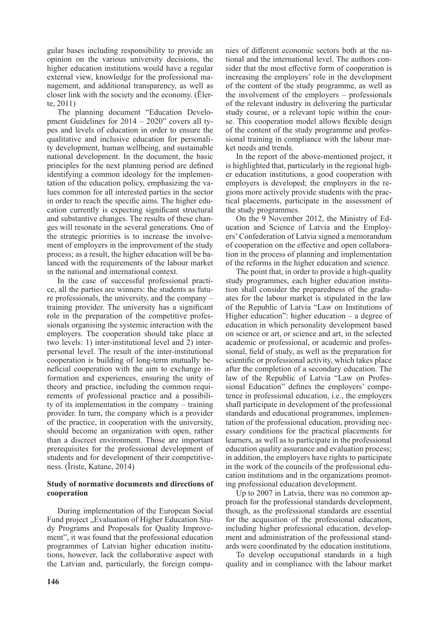gular bases including responsibility to provide an opinion on the various university decisions, the higher education institutions would have a regular external view, knowledge for the professional management, and additional transparency, as well as closer link with the society and the economy. (Ēlerte, 2011)

The planning document "Education Development Guidelines for 2014 – 2020" covers all types and levels of education in order to ensure the qualitative and inclusive education for personality development, human wellbeing, and sustainable national development. In the document, the basic principles for the next planning period are defined identifying a common ideology for the implementation of the education policy, emphasizing the values common for all interested parties in the sector in order to reach the specific aims. The higher education currently is expecting significant structural and substantive changes. The results of these changes will resonate in the several generations. One of the strategic priorities is to increase the involvement of employers in the improvement of the study process; as a result, the higher education will be balanced with the requirements of the labour market in the national and international context.

In the case of successful professional practice, all the parties are winners: the students as future professionals, the university, and the company – training provider. The university has a significant role in the preparation of the competitive professionals organising the systemic interaction with the employers. The cooperation should take place at two levels: 1) inter-institutional level and 2) interpersonal level. The result of the inter-institutional cooperation is building of long-term mutually beneficial cooperation with the aim to exchange information and experiences, ensuring the unity of theory and practice, including the common requirements of professional practice and a possibility of its implementation in the company – training provider. In turn, the company which is a provider of the practice, in cooperation with the university, should become an organization with open, rather than a discreet environment. Those are important prerequisites for the professional development of students and for development of their competitiveness. (Īriste, Katane, 2014)

# **Study of normative documents and directions of cooperation**

During implementation of the European Social Fund project "Evaluation of Higher Education Study Programs and Proposals for Quality Improvement", it was found that the professional education programmes of Latvian higher education institutions, however, lack the collaborative aspect with the Latvian and, particularly, the foreign companies of different economic sectors both at the national and the international level. The authors consider that the most effective form of cooperation is increasing the employers' role in the development of the content of the study programme, as well as the involvement of the employers – professionals of the relevant industry in delivering the particular study course, or a relevant topic within the course. This cooperation model allows flexible design of the content of the study programme and professional training in compliance with the labour market needs and trends.

In the report of the above-mentioned project, it is highlighted that, particularly in the regional higher education institutions, a good cooperation with employers is developed; the employers in the regions more actively provide students with the practical placements, participate in the assessment of the study programmes.

On the 9 November 2012, the Ministry of Education and Science of Latvia and the Employers'Confederation of Latvia signed a memorandum of cooperation on the effective and open collaboration in the process of planning and implementation of the reforms in the higher education and science.

The point that, in order to provide a high-quality study programmes, each higher education institution shall consider the preparedness of the graduates for the labour market is stipulated in the law of the Republic of Latvia "Law on Institutions of Higher education": higher education  $-$  a degree of education in which personality development based on science or art, or science and art, in the selected academic or professional, or academic and professional, field of study, as well as the preparation for scientific or professional activity, which takes place after the completion of a secondary education. The law of the Republic of Latvia "Law on Professional Education" defines the employers' competence in professional education, i.e., the employers shall participate in development of the professional standards and educational programmes, implementation of the professional education, providing necessary conditions for the practical placements for learners, as well as to participate in the professional education quality assurance and evaluation process; in addition, the employers have rights to participate in the work of the councils of the professional education institutions and in the organizations promoting professional education development.

Up to 2007 in Latvia, there was no common approach for the professional standards development, though, as the professional standards are essential for the acquisition of the professional education, including higher professional education, development and administration of the professional standards were coordinated by the education institutions.

To develop occupational standards in a high quality and in compliance with the labour market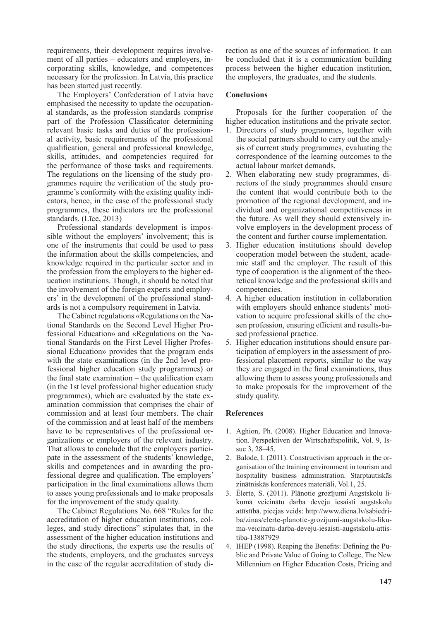requirements, their development requires involvement of all parties – educators and employers, incorporating skills, knowledge, and competences necessary for the profession. In Latvia, this practice has been started just recently.

The Employers' Confederation of Latvia have emphasised the necessity to update the occupational standards, as the profession standards comprise part of the Profession Classificator determining relevant basic tasks and duties of the professional activity, basic requirements of the professional qualification, general and professional knowledge, skills, attitudes, and competencies required for the performance of those tasks and requirements. The regulations on the licensing of the study programmes require the verification of the study programme's conformity with the existing quality indicators, hence, in the case of the professional study programmes, these indicators are the professional standards. (Līce, 2013)

Professional standards development is impossible without the employers' involvement; this is one of the instruments that could be used to pass the information about the skills competencies, and knowledge required in the particular sector and in the profession from the employers to the higher education institutions. Though, it should be noted that the involvement of the foreign experts and employers' in the development of the professional standards is not a compulsory requirement in Latvia.

The Cabinet regulations «Regulations on the National Standards on the Second Level Higher Professional Education» and «Regulations on the National Standards on the First Level Higher Professional Education» provides that the program ends with the state examinations (in the 2nd level professional higher education study programmes) or the final state examination – the qualification exam (in the 1st level professional higher education study programmes), which are evaluated by the state examination commission that comprises the chair of commission and at least four members. The chair of the commission and at least half of the members have to be representatives of the professional organizations or employers of the relevant industry. That allows to conclude that the employers participate in the assessment of the students' knowledge, skills and competences and in awarding the professional degree and qualification. The employers' participation in the final examinations allows them to asses young professionals and to make proposals for the improvement of the study quality.

The Cabinet Regulations No. 668 "Rules for the accreditation of higher education institutions, colleges, and study directions" stipulates that, in the assessment of the higher education institutions and the study directions, the experts use the results of the students, employers, and the graduates surveys in the case of the regular accreditation of study direction as one of the sources of information. It can be concluded that it is a communication building process between the higher education institution, the employers, the graduates, and the students.

# **Conclusions**

Proposals for the further cooperation of the higher education institutions and the private sector.

- 1. Directors of study programmes, together with the social partners should to carry out the analysis of current study programmes, evaluating the correspondence of the learning outcomes to the actual labour market demands.
- 2. When elaborating new study programmes, directors of the study programmes should ensure the content that would contribute both to the promotion of the regional development, and individual and organizational competitiveness in the future. As well they should extensively involve employers in the development process of the content and further course implementation.
- 3. Higher education institutions should develop cooperation model between the student, academic staff and the employer. The result of this type of cooperation is the alignment of the theoretical knowledge and the professional skills and competencies.
- 4. A higher education institution in collaboration with employers should enhance students' motivation to acquire professional skills of the chosen profession, ensuring efficient and results-based professional practice.
- 5. Higher education institutions should ensure participation of employers in the assessment of professional placement reports, similar to the way they are engaged in the final examinations, thus allowing them to assess young professionals and to make proposals for the improvement of the study quality.

# **References**

- 1. Aghion, Ph. (2008). Higher Education and Innovation. Perspektiven der Wirtschaftspolitik, Vol. 9, Issue 3, 28–45.
- 2. Balode, I. (2011). Constructivism approach in the organisation of the training environment in tourism and hospitality business administration. Starptautiskās zinātniskās konferences materiāli, Vol.1, 25.
- 3. Ēlerte, S. (2011). Plānotie grozījumi Augstskolu likumā veicinātu darba devēju iesaisti augstskolu attīstībā. pieejas veids: http://www.diena.lv/sabiedriba/zinas/elerte-planotie-grozijumi-augstskolu-likuma-veicinatu-darba-deveju-iesaisti-augstskolu-attistiba-13887929
- 4. IHEP (1998). Reaping the Benefits: Defining the Public and Private Value of Going to College, The New Millennium on Higher Education Costs, Pricing and